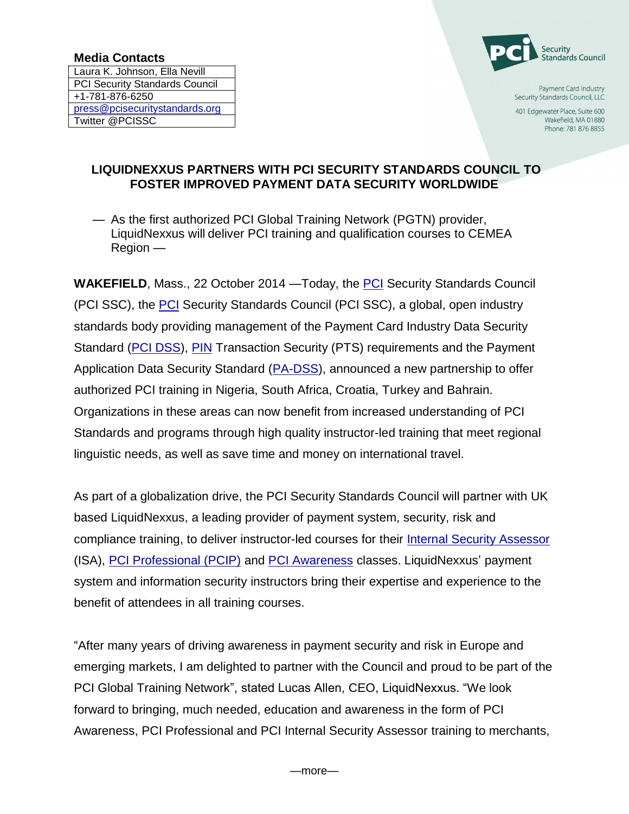## **Media Contacts**

Laura K. Johnson, Ella Nevill PCI Security Standards Council +1-781-876-6250 [press@pcisecuritystandards.org](mailto:press@pcisecuritystandards.org) Twitter @PCISSC



Payment Card Industry Security Standards Council, LLC

401 Edgewater Place, Suite 600 Wakefield, MA 01880 Phone: 781 876 8855

## **LIQUIDNEXXUS PARTNERS WITH PCI SECURITY STANDARDS COUNCIL TO FOSTER IMPROVED PAYMENT DATA SECURITY WORLDWIDE**

— As the first authorized PCI Global Training Network (PGTN) provider, LiquidNexxus will deliver PCI training and qualification courses to CEMEA Region —

**WAKEFIELD**, Mass., 22 October 2014 —Today, the [PCI](https://www.pcisecuritystandards.org/index.shtml) Security Standards Council (PCI SSC), the [PCI](https://www.pcisecuritystandards.org/index.shtml) Security Standards Council (PCI SSC), a global, open industry standards body providing management of the Payment Card Industry Data Security Standard [\(PCI DSS\)](https://www.pcisecuritystandards.org/security_standards/pci_dss.shtml), [PIN](https://www.pcisecuritystandards.org/security_standards/ped/index.shtml) Transaction Security (PTS) requirements and the Payment Application Data Security Standard [\(PA-DSS\)](https://www.pcisecuritystandards.org/security_standards/pa_dss.shtml), announced a new partnership to offer authorized PCI training in Nigeria, South Africa, Croatia, Turkey and Bahrain. Organizations in these areas can now benefit from increased understanding of PCI Standards and programs through high quality instructor-led training that meet regional linguistic needs, as well as save time and money on international travel.

As part of a globalization drive, the PCI Security Standards Council will partner with UK based LiquidNexxus, a leading provider of payment system, security, risk and compliance training, to deliver instructor-led courses for their [Internal Security Assessor](https://www.pcisecuritystandards.org/training/isa_training.php) (ISA), [PCI Professional \(PCIP\)](https://www.pcisecuritystandards.org/training/pcip_training.php) and [PCI Awareness](https://www.pcisecuritystandards.org/training/non_certification_training.php) classes. LiquidNexxus' payment system and information security instructors bring their expertise and experience to the benefit of attendees in all training courses.

"After many years of driving awareness in payment security and risk in Europe and emerging markets, I am delighted to partner with the Council and proud to be part of the PCI Global Training Network", stated Lucas Allen, CEO, LiquidNexxus. "We look forward to bringing, much needed, education and awareness in the form of PCI Awareness, PCI Professional and PCI Internal Security Assessor training to merchants,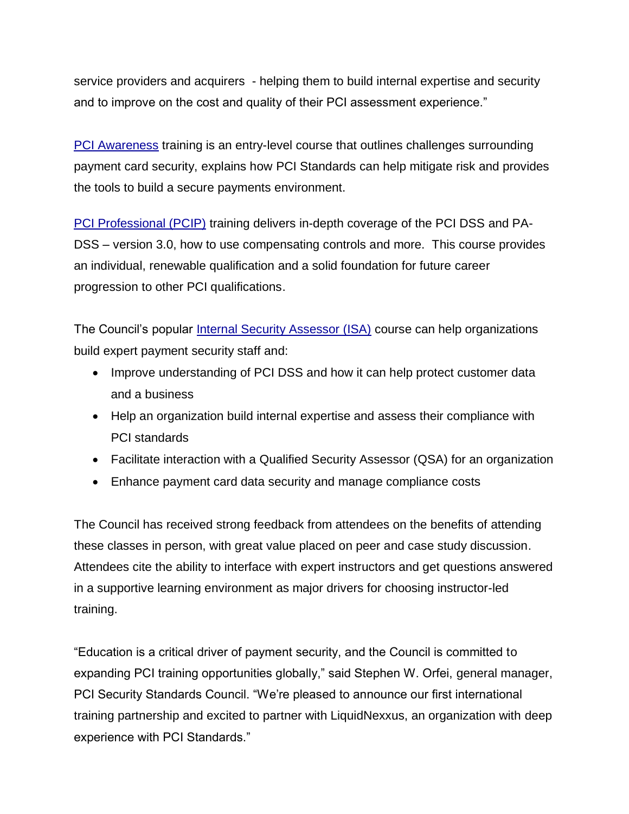service providers and acquirers - helping them to build internal expertise and security and to improve on the cost and quality of their PCI assessment experience."

[PCI Awareness](https://www.pcisecuritystandards.org/training/non_certification_training.php) training is an entry-level course that outlines challenges surrounding payment card security, explains how PCI Standards can help mitigate risk and provides the tools to build a secure payments environment.

[PCI Professional \(PCIP\)](https://www.pcisecuritystandards.org/training/pcip_training.php) training delivers in-depth coverage of the PCI DSS and PA-DSS – version 3.0, how to use compensating controls and more. This course provides an individual, renewable qualification and a solid foundation for future career progression to other PCI qualifications.

The Council's popular [Internal Security Assessor \(ISA\)](https://www.pcisecuritystandards.org/training/isa_training.php) course can help organizations build expert payment security staff and:

- Improve understanding of PCI DSS and how it can help protect customer data and a business
- Help an organization build internal expertise and assess their compliance with PCI standards
- Facilitate interaction with a Qualified Security Assessor (QSA) for an organization
- Enhance payment card data security and manage compliance costs

The Council has received strong feedback from attendees on the benefits of attending these classes in person, with great value placed on peer and case study discussion. Attendees cite the ability to interface with expert instructors and get questions answered in a supportive learning environment as major drivers for choosing instructor-led training.

"Education is a critical driver of payment security, and the Council is committed to expanding PCI training opportunities globally," said Stephen W. Orfei, general manager, PCI Security Standards Council. "We're pleased to announce our first international training partnership and excited to partner with LiquidNexxus, an organization with deep experience with PCI Standards."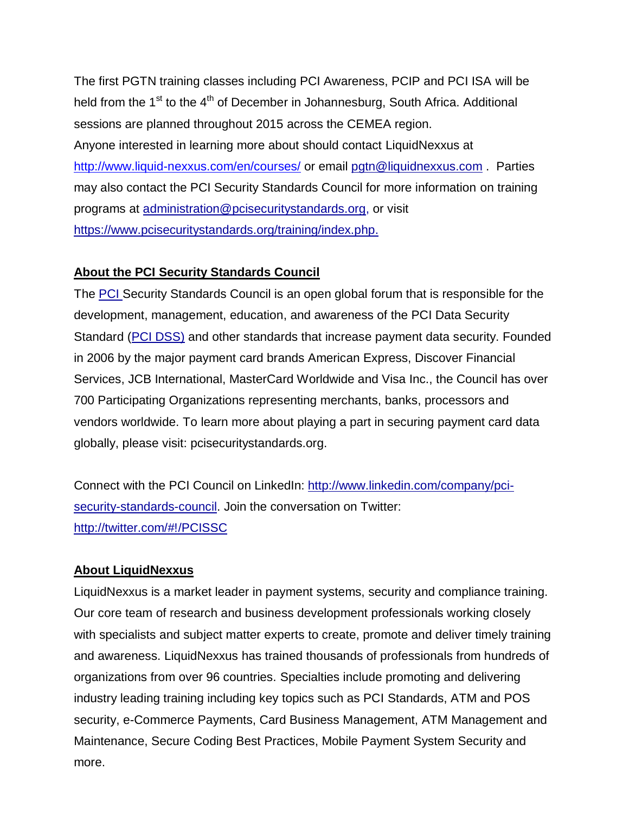The first PGTN training classes including PCI Awareness, PCIP and PCI ISA will be held from the  $1<sup>st</sup>$  to the  $4<sup>th</sup>$  of December in Johannesburg, South Africa. Additional sessions are planned throughout 2015 across the CEMEA region. Anyone interested in learning more about should contact LiquidNexxus at <http://www.liquid-nexxus.com/en/courses/> or email [pgtn@liquidnexxus.com](mailto:pgtn@liquidnexxus.com) . Parties may also contact the PCI Security Standards Council for more information on training programs at [administration@pcisecuritystandards.org,](mailto:administration@pcisecuritystandards.org) or visit [https://www.pcisecuritystandards.org/training/index.php.](https://www.pcisecuritystandards.org/training/index.php)

## **About the PCI Security Standards Council**

The [PCI S](https://www.pcisecuritystandards.org/index.php)ecurity Standards Council is an open global forum that is responsible for the development, management, education, and awareness of the PCI Data Security Standard [\(PCI DSS\)](https://www.pcisecuritystandards.org/documents/PCI_DSS_v3.pdf) and other standards that increase payment data security. Founded in 2006 by the major payment card brands American Express, Discover Financial Services, JCB International, MasterCard Worldwide and Visa Inc., the Council has over 700 Participating Organizations representing merchants, banks, processors and vendors worldwide. To learn more about playing a part in securing payment card data globally, please visit: pcisecuritystandards.org.

Connect with the PCI Council on LinkedIn: [http://www.linkedin.com/company/pci](http://www.linkedin.com/company/pci-security-standards-council)[security-standards-council.](http://www.linkedin.com/company/pci-security-standards-council) Join the conversation on Twitter: <http://twitter.com/#!/PCISSC>

## **About LiquidNexxus**

LiquidNexxus is a market leader in payment systems, security and compliance training. Our core team of research and business development professionals working closely with specialists and subject matter experts to create, promote and deliver timely training and awareness. LiquidNexxus has trained thousands of professionals from hundreds of organizations from over 96 countries. Specialties include promoting and delivering industry leading training including key topics such as PCI Standards, ATM and POS security, e-Commerce Payments, Card Business Management, ATM Management and Maintenance, Secure Coding Best Practices, Mobile Payment System Security and more.